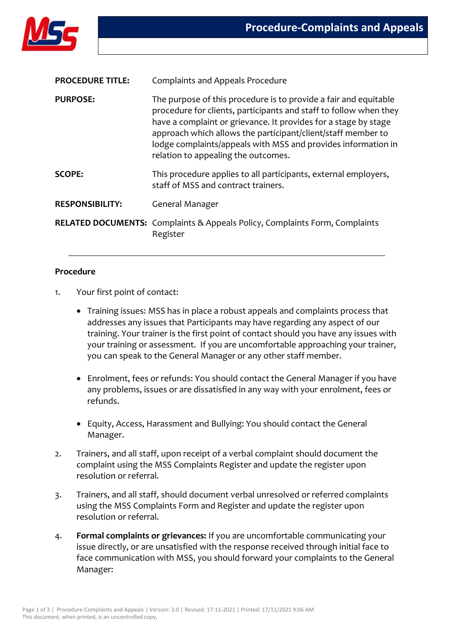

| <b>PROCEDURE TITLE:</b> | <b>Complaints and Appeals Procedure</b>                                                                                                                                                                                                                                                                                                                                          |
|-------------------------|----------------------------------------------------------------------------------------------------------------------------------------------------------------------------------------------------------------------------------------------------------------------------------------------------------------------------------------------------------------------------------|
| <b>PURPOSE:</b>         | The purpose of this procedure is to provide a fair and equitable<br>procedure for clients, participants and staff to follow when they<br>have a complaint or grievance. It provides for a stage by stage<br>approach which allows the participant/client/staff member to<br>lodge complaints/appeals with MSS and provides information in<br>relation to appealing the outcomes. |
| <b>SCOPE:</b>           | This procedure applies to all participants, external employers,<br>staff of MSS and contract trainers.                                                                                                                                                                                                                                                                           |
| <b>RESPONSIBILITY:</b>  | General Manager                                                                                                                                                                                                                                                                                                                                                                  |
|                         | <b>RELATED DOCUMENTS:</b> Complaints & Appeals Policy, Complaints Form, Complaints<br>Register                                                                                                                                                                                                                                                                                   |

## **Procedure**

- 1. Your first point of contact:
	- Training issues: MSS has in place a robust appeals and complaints process that addresses any issues that Participants may have regarding any aspect of our training. Your trainer is the first point of contact should you have any issues with your training or assessment. If you are uncomfortable approaching your trainer, you can speak to the General Manager or any other staff member.
	- Enrolment, fees or refunds: You should contact the General Manager if you have any problems, issues or are dissatisfied in any way with your enrolment, fees or refunds.
	- Equity, Access, Harassment and Bullying: You should contact the General Manager.
- 2. Trainers, and all staff, upon receipt of a verbal complaint should document the complaint using the MSS Complaints Register and update the register upon resolution or referral.
- 3. Trainers, and all staff, should document verbal unresolved or referred complaints using the MSS Complaints Form and Register and update the register upon resolution or referral.
- 4. **Formal complaints or grievances:** If you are uncomfortable communicating your issue directly, or are unsatisfied with the response received through initial face to face communication with MSS, you should forward your complaints to the General Manager: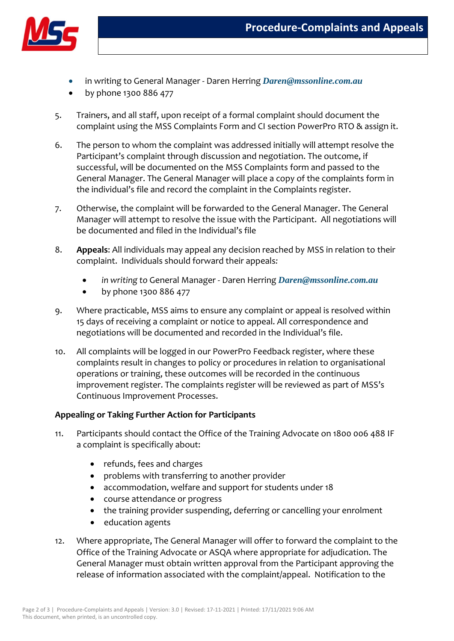

- in writing to General Manager Daren Herring *[Daren@mssonline.com.au](mailto:Daren@mssonline.com.au)*
- by phone 1300 886 477
- 5. Trainers, and all staff, upon receipt of a formal complaint should document the complaint using the MSS Complaints Form and CI section PowerPro RTO & assign it.
- 6. The person to whom the complaint was addressed initially will attempt resolve the Participant's complaint through discussion and negotiation. The outcome, if successful, will be documented on the MSS Complaints form and passed to the General Manager. The General Manager will place a copy of the complaints form in the individual's file and record the complaint in the Complaints register.
- 7. Otherwise, the complaint will be forwarded to the General Manager. The General Manager will attempt to resolve the issue with the Participant. All negotiations will be documented and filed in the Individual's file
- 8. **Appeals**: All individuals may appeal any decision reached by MSS in relation to their complaint. Individuals should forward their appeals*:*
	- *in writing to* General Manager Daren Herring *[Daren@mssonline.com.au](mailto:Daren@mssonline.com.au)*
	- by phone 1300 886 477
- 9. Where practicable, MSS aims to ensure any complaint or appeal is resolved within 15 days of receiving a complaint or notice to appeal. All correspondence and negotiations will be documented and recorded in the Individual's file.
- 10. All complaints will be logged in our PowerPro Feedback register, where these complaints result in changes to policy or procedures in relation to organisational operations or training, these outcomes will be recorded in the continuous improvement register. The complaints register will be reviewed as part of MSS's Continuous Improvement Processes.

## **Appealing or Taking Further Action for Participants**

- 11. Participants should contact the Office of the Training Advocate on 1800 006 488 IF a complaint is specifically about:
	- refunds, fees and charges
	- problems with transferring to another provider
	- accommodation, welfare and support for students under 18
	- course attendance or progress
	- the training provider suspending, deferring or cancelling your enrolment
	- education agents
- 12. Where appropriate, The General Manager will offer to forward the complaint to the Office of the Training Advocate or ASQA where appropriate for adjudication. The General Manager must obtain written approval from the Participant approving the release of information associated with the complaint/appeal. Notification to the